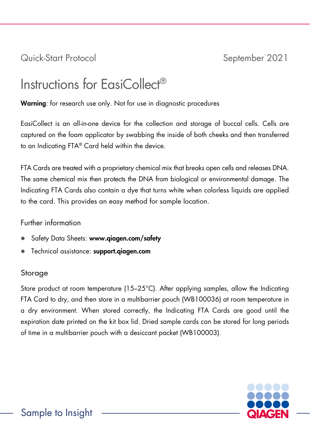Quick-Start Protocol September 2021

# Instructions for EasiCollect®

Warning: for research use only. Not for use in diagnostic procedures

EasiCollect is an all-in-one device for the collection and storage of buccal cells. Cells are captured on the foam applicator by swabbing the inside of both cheeks and then transferred to an Indicating FTA® Card held within the device.

FTA Cards are treated with a proprietary chemical mix that breaks open cells and releases DNA. The same chemical mix then protects the DNA from biological or environmental damage. The Indicating FTA Cards also contain a dye that turns white when colorless liquids are applied to the card. This provides an easy method for sample location.

## Further information

- Safety Data Sheets: www.qiagen.com/safety
- **•** Technical assistance: support.giagen.com

## Storage

Store product at room temperature (15–25°C). After applying samples, allow the Indicating FTA Card to dry, and then store in a multibarrier pouch (WB100036) at room temperature in a dry environment. When stored correctly, the Indicating FTA Cards are good until the expiration date printed on the kit box lid. Dried sample cards can be stored for long periods of time in a multibarrier pouch with a desiccant packet (WB100003).

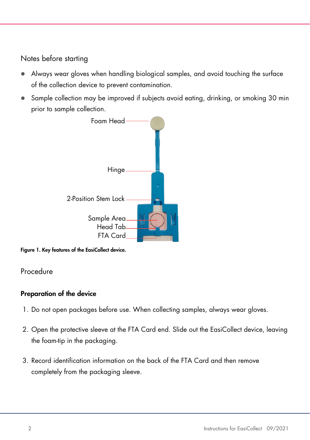## Notes before starting

- Always wear gloves when handling biological samples, and avoid touching the surface of the collection device to prevent contamination.
- Sample collection may be improved if subjects avoid eating, drinking, or smoking 30 min prior to sample collection.



Figure 1. Key features of the EasiCollect device.

## Procedure

## Preparation of the device

- 1. Do not open packages before use. When collecting samples, always wear gloves.
- 2. Open the protective sleeve at the FTA Card end. Slide out the EasiCollect device, leaving the foam-tip in the packaging.
- 3. Record identification information on the back of the FTA Card and then remove completely from the packaging sleeve.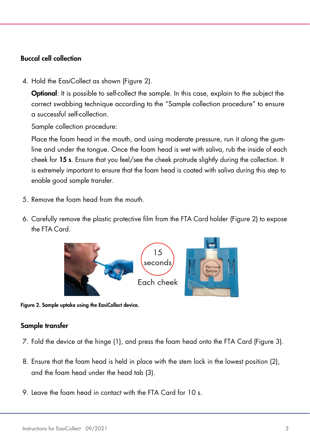#### Buccal cell collection

4. Hold the EasiCollect as shown [\(Figure 2\)](#page-2-0).

**Optional:** It is possible to self-collect the sample. In this case, explain to the subject the correct swabbing technique according to the "Sample collection procedure" to ensure a successful self-collection.

Sample collection procedure:

Place the foam head in the mouth, and using moderate pressure, run it along the gumline and under the tongue. Once the foam head is wet with saliva, rub the inside of each cheek for 15 s. Ensure that you feel/see the cheek protrude slightly during the collection. It is extremely important to ensure that the foam head is coated with saliva during this step to enable good sample transfer.

- 5. Remove the foam head from the mouth.
- 6. Carefully remove the plastic protective film from the FTA Card holder [\(Figure 2\)](#page-2-0) to expose the FTA Card.



<span id="page-2-0"></span>Figure 2. Sample uptake using the EasiCollect device.

#### Sample transfer

- 7. Fold the device at the hinge (1), and press the foam head onto the FTA Card [\(Figure 3\)](#page-3-0).
- 8. Ensure that the foam head is held in place with the stem lock in the lowest position (2), and the foam head under the head tab (3).
- 9. Leave the foam head in contact with the FTA Card for 10 s.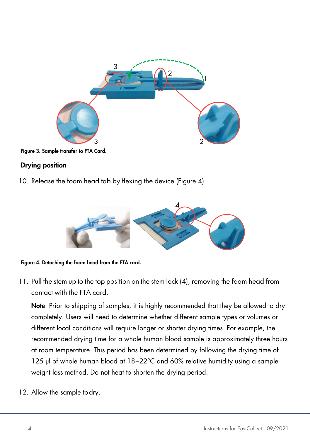

Figure 3. Sample transfer to FTA Card.

## <span id="page-3-0"></span>Drying position

10. Release the foam head tab by flexing the device [\(Figure 4\)](#page-3-1).



Figure 4. Detaching the foam head from the FTA card.

<span id="page-3-1"></span>11. Pull the stem up to the top position on the stem lock (4), removing the foam head from contact with the FTA card.

Note: Prior to shipping of samples, it is highly recommended that they be allowed to dry completely. Users will need to determine whether different sample types or volumes or different local conditions will require longer or shorter drying times. For example, the recommended drying time for a whole human blood sample is approximately three hours at room temperature. This period has been determined by following the drying time of 125 µl of whole human blood at 18−22°C and 60% relative humidity using a sample weight loss method. Do not heat to shorten the drying period.

12. Allow the sample todry.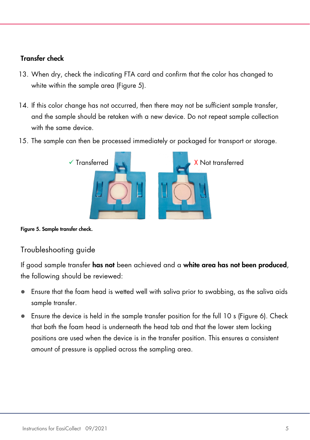## Transfer check

- 13. When dry, check the indicating FTA card and confirm that the color has changed to white within the sample area [\(Figure 5\)](#page-4-0).
- 14. If this color change has not occurred, then there may not be sufficient sample transfer, and the sample should be retaken with a new device. Do not repeat sample collection with the same device.
- 15. The sample can then be processed immediately or packaged for transport or storage.



<span id="page-4-0"></span>Figure 5. Sample transfer check.

## Troubleshooting guide

If good sample transfer has not been achieved and a white area has not been produced, the following should be reviewed:

- Ensure that the foam head is wetted well with saliva prior to swabbing, as the saliva aids sample transfer.
- Ensure the device is held in the sample transfer position for the full 10 s [\(Figure 6\)](#page-5-0). Check that both the foam head is underneath the head tab and that the lower stem locking positions are used when the device is in the transfer position. This ensures a consistent amount of pressure is applied across the sampling area.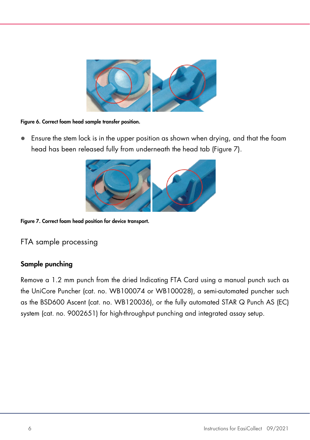

Figure 6. Correct foam head sample transfer position.

<span id="page-5-0"></span> Ensure the stem lock is in the upper position as shown when drying, and that the foam head has been released fully from underneath the head tab [\(Figure 7\)](#page-5-1).



Figure 7. Correct foam head position for device transport.

<span id="page-5-1"></span>FTA sample processing

## Sample punching

Remove a 1.2 mm punch from the dried Indicating FTA Card using a manual punch such as the UniCore Puncher (cat. no. WB100074 or WB100028), a semi-automated puncher such as the BSD600 Ascent (cat. no. WB120036), or the fully automated STAR Q Punch AS (EC) system (cat. no. 9002651) for high-throughput punching and integrated assay setup.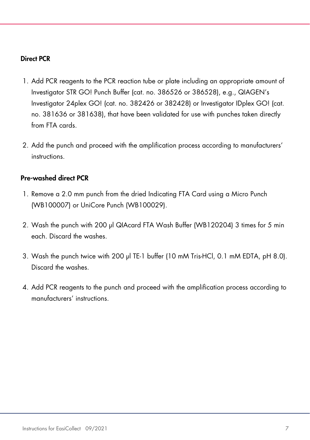#### Direct PCR

- 1. Add PCR reagents to the PCR reaction tube or plate including an appropriate amount of Investigator STR GO! Punch Buffer (cat. no. 386526 or 386528), e.g., QIAGEN's Investigator 24plex GO! (cat. no. 382426 or 382428) or Investigator IDplex GO! (cat. no. 381636 or 381638), that have been validated for use with punches taken directly from FTA cards.
- 2. Add the punch and proceed with the amplification process according to manufacturers' instructions.

#### Pre-washed direct PCR

- 1. Remove a 2.0 mm punch from the dried Indicating FTA Card using a Micro Punch (WB100007) or UniCore Punch (WB100029).
- 2. Wash the punch with 200 µl QIAcard FTA Wash Buffer (WB120204) 3 times for 5 min each. Discard the washes.
- 3. Wash the punch twice with 200 µl TE-1 buffer (10 mM Tris-HCl, 0.1 mM EDTA, pH 8.0). Discard the washes.
- 4. Add PCR reagents to the punch and proceed with the amplification process according to manufacturers' instructions.